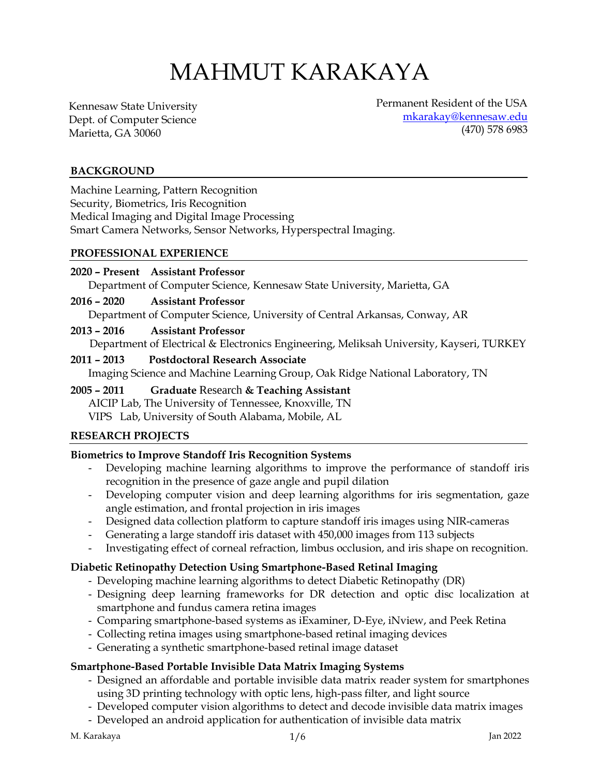# MAHMUT KARAKAYA

Kennesaw State University Dept. of Computer Science Marietta, GA 30060

Permanent Resident of the USA [mkarakay@kennesaw.edu](mailto:mkarakay@kennesaw.edu) (470) 578 6983

## **BACKGROUND**

Machine Learning, Pattern Recognition Security, Biometrics, Iris Recognition Medical Imaging and Digital Image Processing Smart Camera Networks, Sensor Networks, Hyperspectral Imaging.

## **PROFESSIONAL EXPERIENCE**

**2020 – Present Assistant Professor**

Department of Computer Science, Kennesaw State University, Marietta, GA

## **2016 – 2020 Assistant Professor**

Department of Computer Science, University of Central Arkansas, Conway, AR

#### **2013 – 2016 Assistant Professor**

Department of Electrical & Electronics Engineering, Meliksah University, Kayseri, TURKEY

#### **2011 – 2013 Postdoctoral Research Associate**

Imaging Science and Machine Learning Group, Oak Ridge National Laboratory, TN

#### **2005 – 2011 Graduate** Research **& Teaching Assistant**

AICIP Lab, The University of Tennessee, Knoxville, TN

VIPS Lab, University of South Alabama, Mobile, AL

## **RESEARCH PROJECTS**

## **Biometrics to Improve Standoff Iris Recognition Systems**

- Developing machine learning algorithms to improve the performance of standoff iris recognition in the presence of gaze angle and pupil dilation
- Developing computer vision and deep learning algorithms for iris segmentation, gaze angle estimation, and frontal projection in iris images
- Designed data collection platform to capture standoff iris images using NIR-cameras
- Generating a large standoff iris dataset with 450,000 images from 113 subjects
- Investigating effect of corneal refraction, limbus occlusion, and iris shape on recognition.

## **Diabetic Retinopathy Detection Using Smartphone-Based Retinal Imaging**

- Developing machine learning algorithms to detect Diabetic Retinopathy (DR)
- Designing deep learning frameworks for DR detection and optic disc localization at smartphone and fundus camera retina images
- Comparing smartphone-based systems as iExaminer, D-Eye, iNview, and Peek Retina
- Collecting retina images using smartphone-based retinal imaging devices
- Generating a synthetic smartphone-based retinal image dataset

## **Smartphone-Based Portable Invisible Data Matrix Imaging Systems**

- Designed an affordable and portable invisible data matrix reader system for smartphones using 3D printing technology with optic lens, high-pass filter, and light source
- Developed computer vision algorithms to detect and decode invisible data matrix images
- Developed an android application for authentication of invisible data matrix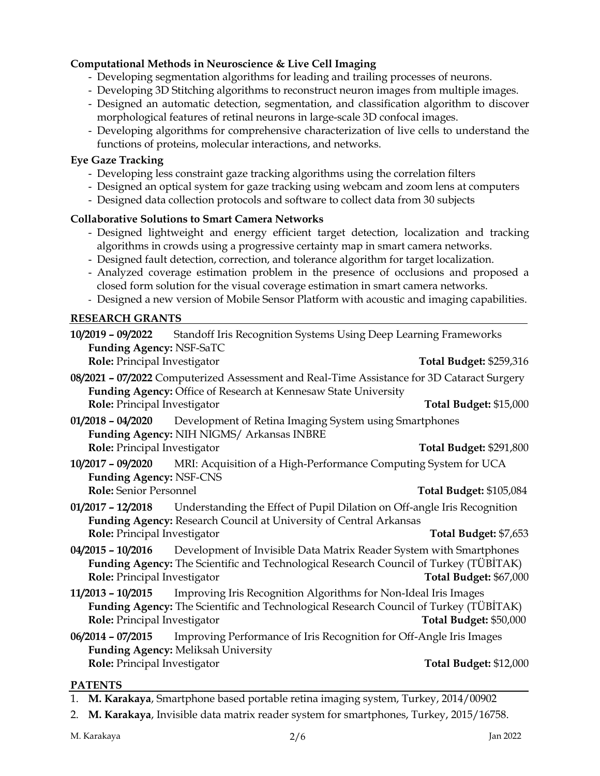# **Computational Methods in Neuroscience & Live Cell Imaging**

- Developing segmentation algorithms for leading and trailing processes of neurons.
- Developing 3D Stitching algorithms to reconstruct neuron images from multiple images.
- Designed an automatic detection, segmentation, and classification algorithm to discover morphological features of retinal neurons in large-scale 3D confocal images.
- Developing algorithms for comprehensive characterization of live cells to understand the functions of proteins, molecular interactions, and networks.

# **Eye Gaze Tracking**

- Developing less constraint gaze tracking algorithms using the correlation filters
- Designed an optical system for gaze tracking using webcam and zoom lens at computers
- Designed data collection protocols and software to collect data from 30 subjects

# **Collaborative Solutions to Smart Camera Networks**

- Designed lightweight and energy efficient target detection, localization and tracking algorithms in crowds using a progressive certainty map in smart camera networks.
- Designed fault detection, correction, and tolerance algorithm for target localization.
- Analyzed coverage estimation problem in the presence of occlusions and proposed a closed form solution for the visual coverage estimation in smart camera networks.
- Designed a new version of Mobile Sensor Platform with acoustic and imaging capabilities.

# **RESEARCH GRANTS**

|                                                                                              | 10/2019 - 09/2022 Standoff Iris Recognition Systems Using Deep Learning Frameworks         |                                |
|----------------------------------------------------------------------------------------------|--------------------------------------------------------------------------------------------|--------------------------------|
| Funding Agency: NSF-SaTC                                                                     |                                                                                            |                                |
| Role: Principal Investigator                                                                 |                                                                                            | <b>Total Budget: \$259,316</b> |
| 08/2021 - 07/2022 Computerized Assessment and Real-Time Assistance for 3D Cataract Surgery   |                                                                                            |                                |
| Funding Agency: Office of Research at Kennesaw State University                              |                                                                                            |                                |
| <b>Role:</b> Principal Investigator                                                          |                                                                                            | <b>Total Budget: \$15,000</b>  |
| $01/2018 - 04/2020$                                                                          | Development of Retina Imaging System using Smartphones                                     |                                |
|                                                                                              | Funding Agency: NIH NIGMS/ Arkansas INBRE                                                  |                                |
| Role: Principal Investigator                                                                 |                                                                                            | <b>Total Budget: \$291,800</b> |
|                                                                                              | 10/2017 - 09/2020 MRI: Acquisition of a High-Performance Computing System for UCA          |                                |
| <b>Funding Agency: NSF-CNS</b>                                                               |                                                                                            |                                |
| <b>Role:</b> Senior Personnel                                                                |                                                                                            | <b>Total Budget: \$105,084</b> |
|                                                                                              | 01/2017 - 12/2018 Understanding the Effect of Pupil Dilation on Off-angle Iris Recognition |                                |
| Funding Agency: Research Council at University of Central Arkansas                           |                                                                                            |                                |
| Role: Principal Investigator                                                                 |                                                                                            | Total Budget: \$7,653          |
|                                                                                              | 04/2015 - 10/2016 Development of Invisible Data Matrix Reader System with Smartphones      |                                |
| Funding Agency: The Scientific and Technological Research Council of Turkey (TÜBİTAK)        |                                                                                            |                                |
| <b>Role:</b> Principal Investigator                                                          |                                                                                            | <b>Total Budget: \$67,000</b>  |
|                                                                                              | 11/2013 - 10/2015 Improving Iris Recognition Algorithms for Non-Ideal Iris Images          |                                |
| <b>Funding Agency:</b> The Scientific and Technological Research Council of Turkey (TÜBİTAK) |                                                                                            |                                |
| Role: Principal Investigator                                                                 |                                                                                            | <b>Total Budget: \$50,000</b>  |
| 06/2014 - 07/2015 Improving Performance of Iris Recognition for Off-Angle Iris Images        |                                                                                            |                                |
| Funding Agency: Meliksah University                                                          |                                                                                            |                                |
| Role: Principal Investigator                                                                 |                                                                                            | <b>Total Budget: \$12,000</b>  |
| <b>PATENTS</b>                                                                               |                                                                                            |                                |

# 1. **M. Karakaya**, Smartphone based portable retina imaging system, Turkey, 2014/00902

2. **M. Karakaya**, Invisible data matrix reader system for smartphones, Turkey, 2015/16758.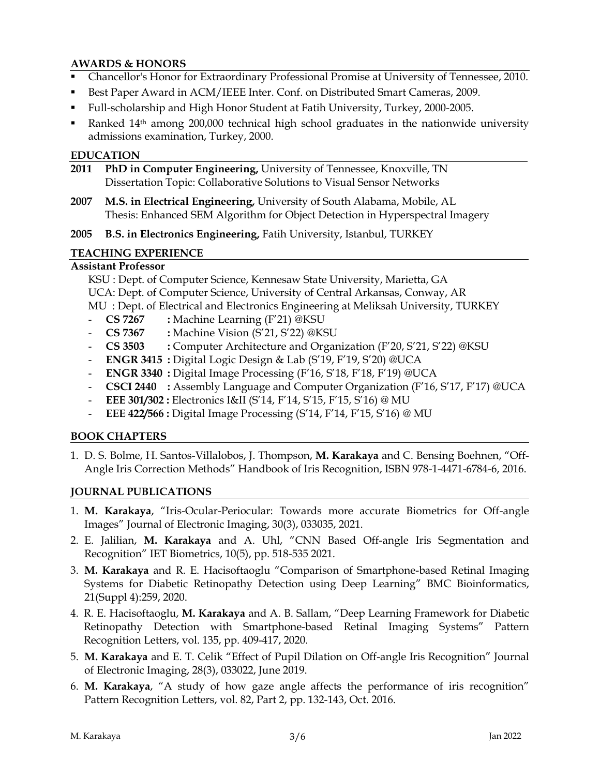# **AWARDS & HONORS**

- Chancellor's Honor for Extraordinary Professional Promise at University of Tennessee, 2010.
- Best Paper Award in ACM/IEEE Inter. Conf. on Distributed Smart Cameras, 2009.
- Full-scholarship and High Honor Student at Fatih University, Turkey, 2000-2005.
- Ranked 14<sup>th</sup> among 200,000 technical high school graduates in the nationwide university admissions examination, Turkey, 2000.

# **EDUCATION**

- **2011 PhD in Computer Engineering,** University of Tennessee, Knoxville, TN Dissertation Topic: Collaborative Solutions to Visual Sensor Networks
- **2007 M.S. in Electrical Engineering,** University of South Alabama, Mobile, AL Thesis: Enhanced SEM Algorithm for Object Detection in Hyperspectral Imagery
- **2005 B.S. in Electronics Engineering,** Fatih University, Istanbul, TURKEY

# **TEACHING EXPERIENCE**

## **Assistant Professor**

KSU : Dept. of Computer Science, Kennesaw State University, Marietta, GA UCA: Dept. of Computer Science, University of Central Arkansas, Conway, AR MU : Dept. of Electrical and Electronics Engineering at Meliksah University, TURKEY

- **CS 7267 :** Machine Learning (F'21) @KSU
- **CS 7367 :** Machine Vision (S'21, S'22) @KSU
- **CS 3503 :** Computer Architecture and Organization (F'20, S'21, S'22) @KSU
- **ENGR 3415 :** Digital Logic Design & Lab (S'19, F'19, S'20) @UCA
- **ENGR 3340 :** Digital Image Processing (F'16, S'18, F'18, F'19) @UCA
- **CSCI 2440 :** Assembly Language and Computer Organization (F'16, S'17, F'17) @UCA
- **EEE 301/302 :** Electronics I&II (S'14, F'14, S'15, F'15, S'16) @ MU
- **EEE 422/566 :** Digital Image Processing (S'14, F'14, F'15, S'16) @ MU

# **BOOK CHAPTERS**

1. D. S. Bolme, H. Santos-Villalobos, J. Thompson, **M. Karakaya** and C. Bensing Boehnen, "Off-Angle Iris Correction Methods" Handbook of Iris Recognition, ISBN 978-1-4471-6784-6, 2016.

# **JOURNAL PUBLICATIONS**

- 1. **M. Karakaya**, "Iris-Ocular-Periocular: Towards more accurate Biometrics for Off-angle Images" Journal of Electronic Imaging, 30(3), 033035, 2021.
- 2. E. Jalilian, **M. Karakaya** and A. Uhl, "CNN Based Off-angle Iris Segmentation and Recognition" IET Biometrics, 10(5), pp. 518-535 2021.
- 3. **M. Karakaya** and R. E. Hacisoftaoglu "Comparison of Smartphone-based Retinal Imaging Systems for Diabetic Retinopathy Detection using Deep Learning" BMC Bioinformatics, 21(Suppl 4):259, 2020.
- 4. R. E. Hacisoftaoglu, **M. Karakaya** and A. B. Sallam, "Deep Learning Framework for Diabetic Retinopathy Detection with Smartphone-based Retinal Imaging Systems" Pattern Recognition Letters, vol. 135, pp. 409-417, 2020.
- 5. **M. Karakaya** and E. T. Celik "Effect of Pupil Dilation on Off-angle Iris Recognition" Journal of Electronic Imaging, 28(3), 033022, June 2019.
- 6. **M. Karakaya**, "A study of how gaze angle affects the performance of iris recognition" Pattern Recognition Letters, vol. 82, Part 2, pp. 132-143, Oct. 2016.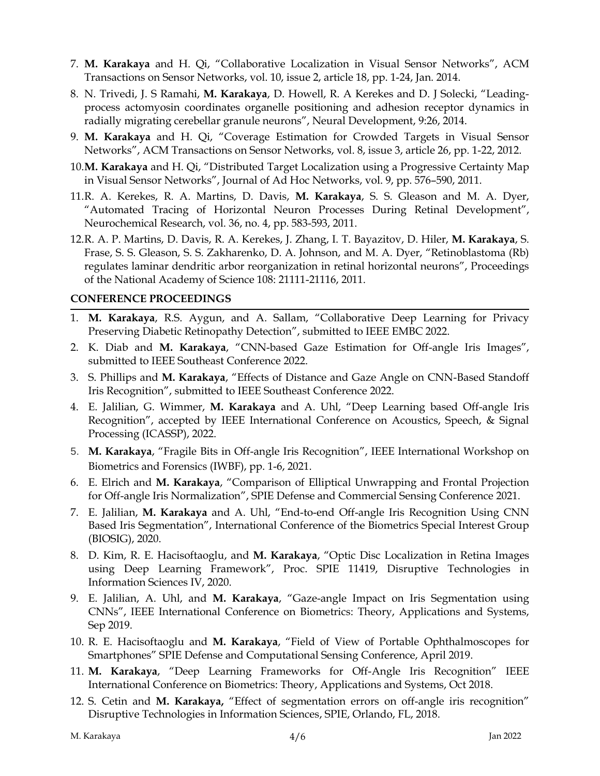- 7. **M. Karakaya** and H. Qi, "Collaborative Localization in Visual Sensor Networks", ACM Transactions on Sensor Networks, vol. 10, issue 2, article 18, pp. 1-24, Jan. 2014.
- 8. N. Trivedi, J. S Ramahi, **M. Karakaya**, D. Howell, R. A Kerekes and D. J Solecki, "Leadingprocess actomyosin coordinates organelle positioning and adhesion receptor dynamics in radially migrating cerebellar granule neurons", Neural Development, 9:26, 2014.
- 9. **M. Karakaya** and H. Qi, "Coverage Estimation for Crowded Targets in Visual Sensor Networks", ACM Transactions on Sensor Networks, vol. 8, issue 3, article 26, pp. 1-22, 2012.
- 10.**M. Karakaya** and H. Qi, "Distributed Target Localization using a Progressive Certainty Map in Visual Sensor Networks", Journal of Ad Hoc Networks, vol. 9, pp. 576–590, 2011.
- 11.R. A. Kerekes, R. A. Martins, D. Davis, **M. Karakaya**, S. S. Gleason and M. A. Dyer, "Automated Tracing of Horizontal Neuron Processes During Retinal Development", Neurochemical Research, vol. 36, no. 4, pp. 583-593, 2011.
- 12.R. A. P. Martins, D. Davis, R. A. Kerekes, J. Zhang, I. T. Bayazitov, D. Hiler, **M. Karakaya**, S. Frase, S. S. Gleason, S. S. Zakharenko, D. A. Johnson, and M. A. Dyer, "Retinoblastoma (Rb) regulates laminar dendritic arbor reorganization in retinal horizontal neurons", Proceedings of the National Academy of Science 108: 21111-21116, 2011.

# **CONFERENCE PROCEEDINGS**

- 1. **M. Karakaya**, R.S. Aygun, and A. Sallam, "Collaborative Deep Learning for Privacy Preserving Diabetic Retinopathy Detection", submitted to IEEE EMBC 2022.
- 2. K. Diab and **M. Karakaya**, "CNN-based Gaze Estimation for Off-angle Iris Images", submitted to IEEE Southeast Conference 2022.
- 3. S. Phillips and **M. Karakaya**, "Effects of Distance and Gaze Angle on CNN-Based Standoff Iris Recognition", submitted to IEEE Southeast Conference 2022.
- 4. E. Jalilian, G. Wimmer, **M. Karakaya** and A. Uhl, "Deep Learning based Off-angle Iris Recognition", accepted by IEEE International Conference on Acoustics, Speech, & Signal Processing (ICASSP), 2022.
- 5. **M. Karakaya**, "Fragile Bits in Off-angle Iris Recognition", IEEE International Workshop on Biometrics and Forensics (IWBF), pp. 1-6, 2021.
- 6. E. Elrich and **M. Karakaya**, "Comparison of Elliptical Unwrapping and Frontal Projection for Off-angle Iris Normalization", SPIE Defense and Commercial Sensing Conference 2021.
- 7. E. Jalilian, **M. Karakaya** and A. Uhl, "End-to-end Off-angle Iris Recognition Using CNN Based Iris Segmentation", International Conference of the Biometrics Special Interest Group (BIOSIG), 2020.
- 8. D. Kim, R. E. Hacisoftaoglu, and **M. Karakaya**, "Optic Disc Localization in Retina Images using Deep Learning Framework", Proc. SPIE 11419, Disruptive Technologies in Information Sciences IV, 2020.
- 9. E. Jalilian, A. Uhl, and **M. Karakaya**, "Gaze-angle Impact on Iris Segmentation using CNNs", IEEE International Conference on Biometrics: Theory, Applications and Systems, Sep 2019.
- 10. R. E. Hacisoftaoglu and **M. Karakaya**, "Field of View of Portable Ophthalmoscopes for Smartphones" SPIE Defense and Computational Sensing Conference, April 2019.
- 11. **M. Karakaya**, "Deep Learning Frameworks for Off-Angle Iris Recognition" IEEE International Conference on Biometrics: Theory, Applications and Systems, Oct 2018.
- 12. S. Cetin and **M. Karakaya,** "Effect of segmentation errors on off-angle iris recognition" Disruptive Technologies in Information Sciences, SPIE, Orlando, FL, 2018.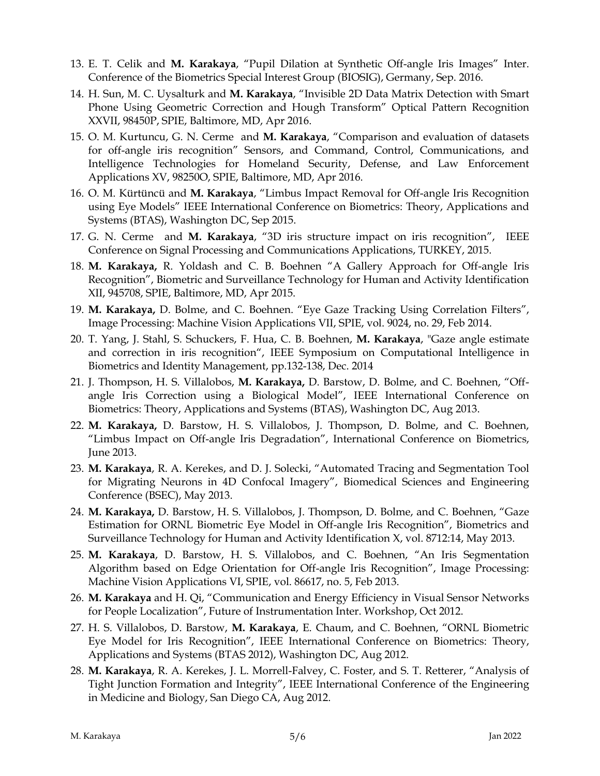- 13. E. T. Celik and **M. Karakaya**, "Pupil Dilation at Synthetic Off-angle Iris Images" Inter. Conference of the Biometrics Special Interest Group (BIOSIG), Germany, Sep. 2016.
- 14. H. Sun, M. C. Uysalturk and **M. Karakaya**, "Invisible 2D Data Matrix Detection with Smart Phone Using Geometric Correction and Hough Transform" Optical Pattern Recognition XXVII, 98450P, SPIE, Baltimore, MD, Apr 2016.
- 15. O. M. Kurtuncu, G. N. Cerme and **M. Karakaya**, "Comparison and evaluation of datasets for off-angle iris recognition" Sensors, and Command, Control, Communications, and Intelligence Technologies for Homeland Security, Defense, and Law Enforcement Applications XV, 98250O, SPIE, Baltimore, MD, Apr 2016.
- 16. O. M. Kürtüncü and **M. Karakaya**, "Limbus Impact Removal for Off-angle Iris Recognition using Eye Models" IEEE International Conference on Biometrics: Theory, Applications and Systems (BTAS), Washington DC, Sep 2015.
- 17. G. N. Cerme and **M. Karakaya**, "3D iris structure impact on iris recognition", IEEE Conference on Signal Processing and Communications Applications, TURKEY, 2015.
- 18. **M. Karakaya,** R. Yoldash and C. B. Boehnen "A Gallery Approach for Off-angle Iris Recognition", Biometric and Surveillance Technology for Human and Activity Identification XII, 945708, SPIE, Baltimore, MD, Apr 2015.
- 19. **M. Karakaya,** D. Bolme, and C. Boehnen. "Eye Gaze Tracking Using Correlation Filters", Image Processing: Machine Vision Applications VII, SPIE, vol. 9024, no. 29, Feb 2014.
- 20. T. Yang, J. Stahl, S. Schuckers, F. Hua, C. B. Boehnen, **M. Karakaya**, "Gaze angle estimate and correction in iris recognition", IEEE Symposium on Computational Intelligence in Biometrics and Identity Management, pp.132-138, Dec. 2014
- 21. J. Thompson, H. S. Villalobos, **M. Karakaya,** D. Barstow, D. Bolme, and C. Boehnen, "Offangle Iris Correction using a Biological Model", IEEE International Conference on Biometrics: Theory, Applications and Systems (BTAS), Washington DC, Aug 2013.
- 22. **M. Karakaya,** D. Barstow, H. S. Villalobos, J. Thompson, D. Bolme, and C. Boehnen, "Limbus Impact on Off-angle Iris Degradation", International Conference on Biometrics, June 2013.
- 23. **M. Karakaya**, R. A. Kerekes, and D. J. Solecki, "Automated Tracing and Segmentation Tool for Migrating Neurons in 4D Confocal Imagery", Biomedical Sciences and Engineering Conference (BSEC), May 2013.
- 24. **M. Karakaya,** D. Barstow, H. S. Villalobos, J. Thompson, D. Bolme, and C. Boehnen, "Gaze Estimation for ORNL Biometric Eye Model in Off-angle Iris Recognition", Biometrics and Surveillance Technology for Human and Activity Identification X, vol. 8712:14, May 2013.
- 25. **M. Karakaya**, D. Barstow, H. S. Villalobos, and C. Boehnen, "An Iris Segmentation Algorithm based on Edge Orientation for Off-angle Iris Recognition", Image Processing: Machine Vision Applications VI, SPIE, vol. 86617, no. 5, Feb 2013.
- 26. **M. Karakaya** and H. Qi, "Communication and Energy Efficiency in Visual Sensor Networks for People Localization", Future of Instrumentation Inter. Workshop, Oct 2012.
- 27. H. S. Villalobos, D. Barstow, **M. Karakaya**, E. Chaum, and C. Boehnen, "ORNL Biometric Eye Model for Iris Recognition", IEEE International Conference on Biometrics: Theory, Applications and Systems (BTAS 2012), Washington DC, Aug 2012.
- 28. **M. Karakaya**, R. A. Kerekes, J. L. Morrell-Falvey, C. Foster, and S. T. Retterer, "Analysis of Tight Junction Formation and Integrity", IEEE International Conference of the Engineering in Medicine and Biology, San Diego CA, Aug 2012.